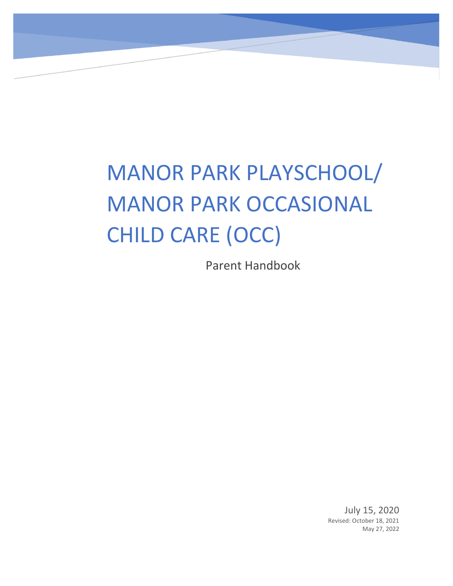# MANOR PARK PLAYSCHOOL/ MANOR PARK OCCASIONAL CHILD CARE (OCC)

Parent Handbook

July 15, 2020 Revised: October 18, 2021 May 27, 2022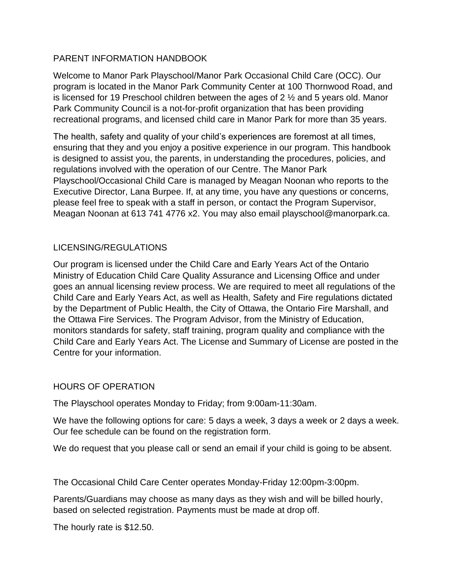#### PARENT INFORMATION HANDBOOK

Welcome to Manor Park Playschool/Manor Park Occasional Child Care (OCC). Our program is located in the Manor Park Community Center at 100 Thornwood Road, and is licensed for 19 Preschool children between the ages of 2 ½ and 5 years old. Manor Park Community Council is a not-for-profit organization that has been providing recreational programs, and licensed child care in Manor Park for more than 35 years.

The health, safety and quality of your child's experiences are foremost at all times, ensuring that they and you enjoy a positive experience in our program. This handbook is designed to assist you, the parents, in understanding the procedures, policies, and regulations involved with the operation of our Centre. The Manor Park Playschool/Occasional Child Care is managed by Meagan Noonan who reports to the Executive Director, Lana Burpee. If, at any time, you have any questions or concerns, please feel free to speak with a staff in person, or contact the Program Supervisor, Meagan Noonan at 613 741 4776 x2. You may also email playschool@manorpark.ca.

## LICENSING/REGULATIONS

Our program is licensed under the Child Care and Early Years Act of the Ontario Ministry of Education Child Care Quality Assurance and Licensing Office and under goes an annual licensing review process. We are required to meet all regulations of the Child Care and Early Years Act, as well as Health, Safety and Fire regulations dictated by the Department of Public Health, the City of Ottawa, the Ontario Fire Marshall, and the Ottawa Fire Services. The Program Advisor, from the Ministry of Education, monitors standards for safety, staff training, program quality and compliance with the Child Care and Early Years Act. The License and Summary of License are posted in the Centre for your information.

## HOURS OF OPERATION

The Playschool operates Monday to Friday; from 9:00am-11:30am.

We have the following options for care: 5 days a week, 3 days a week or 2 days a week. Our fee schedule can be found on the registration form.

We do request that you please call or send an email if your child is going to be absent.

The Occasional Child Care Center operates Monday-Friday 12:00pm-3:00pm.

Parents/Guardians may choose as many days as they wish and will be billed hourly, based on selected registration. Payments must be made at drop off.

The hourly rate is \$12.50.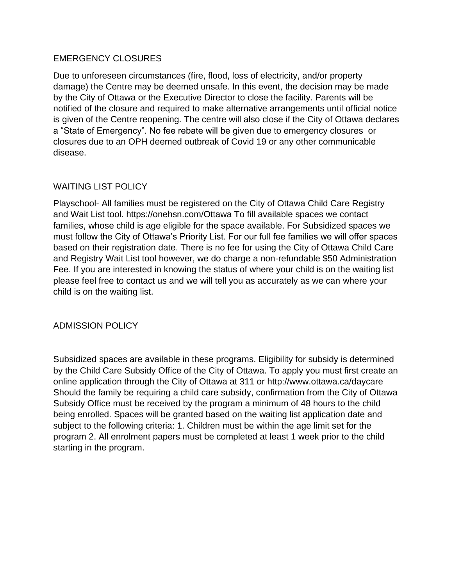#### EMERGENCY CLOSURES

Due to unforeseen circumstances (fire, flood, loss of electricity, and/or property damage) the Centre may be deemed unsafe. In this event, the decision may be made by the City of Ottawa or the Executive Director to close the facility. Parents will be notified of the closure and required to make alternative arrangements until official notice is given of the Centre reopening. The centre will also close if the City of Ottawa declares a "State of Emergency". No fee rebate will be given due to emergency closures or closures due to an OPH deemed outbreak of Covid 19 or any other communicable disease.

#### WAITING LIST POLICY

Playschool- All families must be registered on the City of Ottawa Child Care Registry and Wait List tool. https://onehsn.com/Ottawa To fill available spaces we contact families, whose child is age eligible for the space available. For Subsidized spaces we must follow the City of Ottawa's Priority List. For our full fee families we will offer spaces based on their registration date. There is no fee for using the City of Ottawa Child Care and Registry Wait List tool however, we do charge a non-refundable \$50 Administration Fee. If you are interested in knowing the status of where your child is on the waiting list please feel free to contact us and we will tell you as accurately as we can where your child is on the waiting list.

#### ADMISSION POLICY

Subsidized spaces are available in these programs. Eligibility for subsidy is determined by the Child Care Subsidy Office of the City of Ottawa. To apply you must first create an online application through the City of Ottawa at 311 or http://www.ottawa.ca/daycare Should the family be requiring a child care subsidy, confirmation from the City of Ottawa Subsidy Office must be received by the program a minimum of 48 hours to the child being enrolled. Spaces will be granted based on the waiting list application date and subject to the following criteria: 1. Children must be within the age limit set for the program 2. All enrolment papers must be completed at least 1 week prior to the child starting in the program.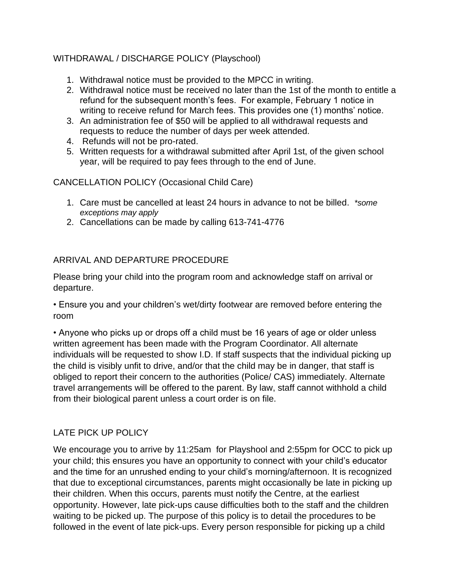## WITHDRAWAL / DISCHARGE POLICY (Playschool)

- 1. Withdrawal notice must be provided to the MPCC in writing.
- 2. Withdrawal notice must be received no later than the 1st of the month to entitle a refund for the subsequent month's fees. For example, February 1 notice in writing to receive refund for March fees. This provides one (1) months' notice.
- 3. An administration fee of \$50 will be applied to all withdrawal requests and requests to reduce the number of days per week attended.
- 4. Refunds will not be pro-rated.
- 5. Written requests for a withdrawal submitted after April 1st, of the given school year, will be required to pay fees through to the end of June.

CANCELLATION POLICY (Occasional Child Care)

- 1. Care must be cancelled at least 24 hours in advance to not be billed. *\*some exceptions may apply*
- 2. Cancellations can be made by calling 613-741-4776

## ARRIVAL AND DEPARTURE PROCEDURE

Please bring your child into the program room and acknowledge staff on arrival or departure.

• Ensure you and your children's wet/dirty footwear are removed before entering the room

• Anyone who picks up or drops off a child must be 16 years of age or older unless written agreement has been made with the Program Coordinator. All alternate individuals will be requested to show I.D. If staff suspects that the individual picking up the child is visibly unfit to drive, and/or that the child may be in danger, that staff is obliged to report their concern to the authorities (Police/ CAS) immediately. Alternate travel arrangements will be offered to the parent. By law, staff cannot withhold a child from their biological parent unless a court order is on file.

# LATE PICK UP POLICY

We encourage you to arrive by 11:25am for Playshool and 2:55pm for OCC to pick up your child; this ensures you have an opportunity to connect with your child's educator and the time for an unrushed ending to your child's morning/afternoon. It is recognized that due to exceptional circumstances, parents might occasionally be late in picking up their children. When this occurs, parents must notify the Centre, at the earliest opportunity. However, late pick-ups cause difficulties both to the staff and the children waiting to be picked up. The purpose of this policy is to detail the procedures to be followed in the event of late pick-ups. Every person responsible for picking up a child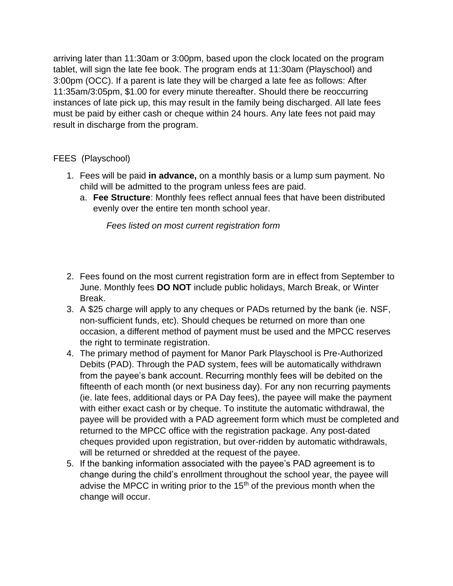arriving later than 11:30am or 3:00pm, based upon the clock located on the program tablet, will sign the late fee book. The program ends at 11:30am (Playschool) and 3:00pm (OCC). If a parent is late they will be charged a late fee as follows: After 11:35am/3:05pm, \$1.00 for every minute thereafter. Should there be reoccurring instances of late pick up, this may result in the family being discharged. All late fees must be paid by either cash or cheque within 24 hours. Any late fees not paid may result in discharge from the program.

#### FEES (Playschool)

- 1. Fees will be paid **in advance,** on a monthly basis or a lump sum payment. No child will be admitted to the program unless fees are paid.
	- a. **Fee Structure**: Monthly fees reflect annual fees that have been distributed evenly over the entire ten month school year.

*Fees listed on most current registration form*

- 2. Fees found on the most current registration form are in effect from September to June. Monthly fees **DO NOT** include public holidays, March Break, or Winter Break.
- 3. A \$25 charge will apply to any cheques or PADs returned by the bank (ie. NSF, non-sufficient funds, etc). Should cheques be returned on more than one occasion, a different method of payment must be used and the MPCC reserves the right to terminate registration.
- 4. The primary method of payment for Manor Park Playschool is Pre-Authorized Debits (PAD). Through the PAD system, fees will be automatically withdrawn from the payee's bank account. Recurring monthly fees will be debited on the fifteenth of each month (or next business day). For any non recurring payments (ie. late fees, additional days or PA Day fees), the payee will make the payment with either exact cash or by cheque. To institute the automatic withdrawal, the payee will be provided with a PAD agreement form which must be completed and returned to the MPCC office with the registration package. Any post-dated cheques provided upon registration, but over-ridden by automatic withdrawals, will be returned or shredded at the request of the payee.
- 5. If the banking information associated with the payee's PAD agreement is to change during the child's enrollment throughout the school year, the payee will advise the MPCC in writing prior to the  $15<sup>th</sup>$  of the previous month when the change will occur.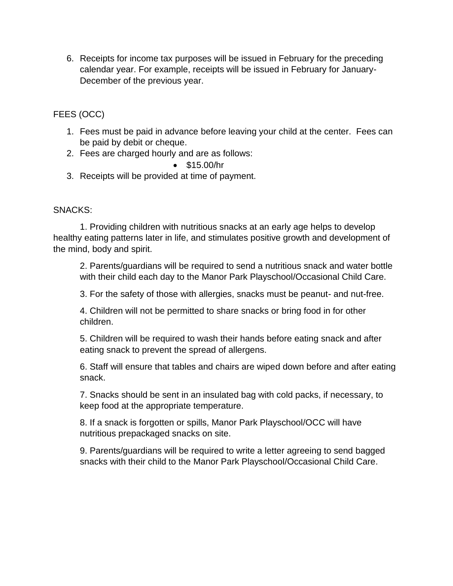6. Receipts for income tax purposes will be issued in February for the preceding calendar year. For example, receipts will be issued in February for January-December of the previous year.

FEES (OCC)

- 1. Fees must be paid in advance before leaving your child at the center. Fees can be paid by debit or cheque.
- 2. Fees are charged hourly and are as follows:
	- \$15.00/hr
- 3. Receipts will be provided at time of payment.

## SNACKS:

1. Providing children with nutritious snacks at an early age helps to develop healthy eating patterns later in life, and stimulates positive growth and development of the mind, body and spirit.

2. Parents/guardians will be required to send a nutritious snack and water bottle with their child each day to the Manor Park Playschool/Occasional Child Care.

3. For the safety of those with allergies, snacks must be peanut- and nut-free.

4. Children will not be permitted to share snacks or bring food in for other children.

5. Children will be required to wash their hands before eating snack and after eating snack to prevent the spread of allergens.

6. Staff will ensure that tables and chairs are wiped down before and after eating snack.

7. Snacks should be sent in an insulated bag with cold packs, if necessary, to keep food at the appropriate temperature.

8. If a snack is forgotten or spills, Manor Park Playschool/OCC will have nutritious prepackaged snacks on site.

9. Parents/guardians will be required to write a letter agreeing to send bagged snacks with their child to the Manor Park Playschool/Occasional Child Care.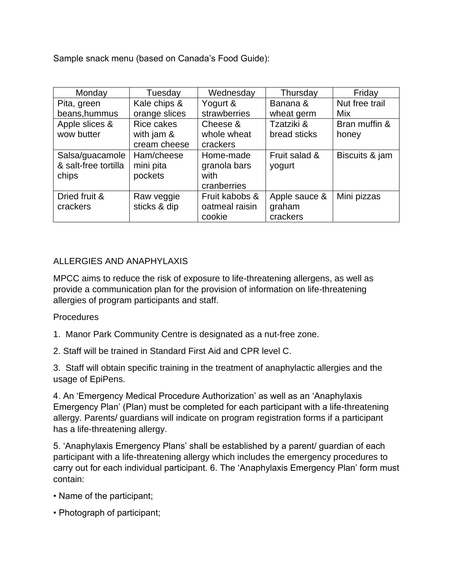Sample snack menu (based on Canada's Food Guide):

| Monday               | Tuesday       | Wednesday      | Thursday      | Friday         |
|----------------------|---------------|----------------|---------------|----------------|
| Pita, green          | Kale chips &  | Yogurt &       | Banana &      | Nut free trail |
| beans, hummus        | orange slices | strawberries   | wheat germ    | Mix            |
| Apple slices &       | Rice cakes    | Cheese &       | Tzatziki &    | Bran muffin &  |
| wow butter           | with jam &    | whole wheat    | bread sticks  | honey          |
|                      | cream cheese  | crackers       |               |                |
| Salsa/guacamole      | Ham/cheese    | Home-made      | Fruit salad & | Biscuits & jam |
| & salt-free tortilla | mini pita     | granola bars   | yogurt        |                |
| chips                | pockets       | with           |               |                |
|                      |               | cranberries    |               |                |
| Dried fruit &        | Raw veggie    | Fruit kabobs & | Apple sauce & | Mini pizzas    |
| crackers             | sticks & dip  | oatmeal raisin | graham        |                |
|                      |               | cookie         | crackers      |                |

## ALLERGIES AND ANAPHYLAXIS

MPCC aims to reduce the risk of exposure to life-threatening allergens, as well as provide a communication plan for the provision of information on life-threatening allergies of program participants and staff.

## **Procedures**

- 1. Manor Park Community Centre is designated as a nut-free zone.
- 2. Staff will be trained in Standard First Aid and CPR level C.

3. Staff will obtain specific training in the treatment of anaphylactic allergies and the usage of EpiPens.

4. An 'Emergency Medical Procedure Authorization' as well as an 'Anaphylaxis Emergency Plan' (Plan) must be completed for each participant with a life-threatening allergy. Parents/ guardians will indicate on program registration forms if a participant has a life-threatening allergy.

5. 'Anaphylaxis Emergency Plans' shall be established by a parent/ guardian of each participant with a life-threatening allergy which includes the emergency procedures to carry out for each individual participant. 6. The 'Anaphylaxis Emergency Plan' form must contain:

- Name of the participant;
- Photograph of participant;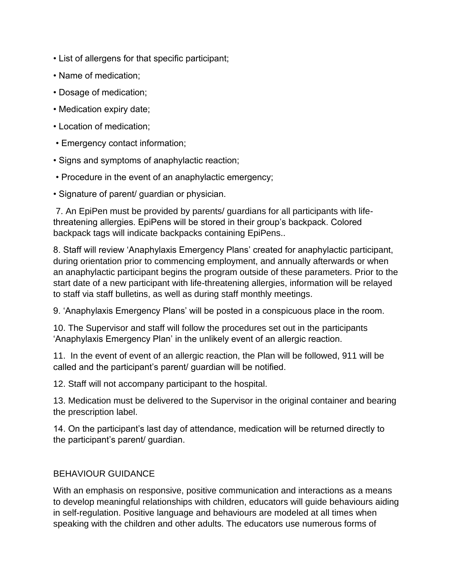- List of allergens for that specific participant;
- Name of medication;
- Dosage of medication;
- Medication expiry date;
- Location of medication;
- Emergency contact information;
- Signs and symptoms of anaphylactic reaction;
- Procedure in the event of an anaphylactic emergency;
- Signature of parent/ guardian or physician.

7. An EpiPen must be provided by parents/ guardians for all participants with lifethreatening allergies. EpiPens will be stored in their group's backpack. Colored backpack tags will indicate backpacks containing EpiPens..

8. Staff will review 'Anaphylaxis Emergency Plans' created for anaphylactic participant, during orientation prior to commencing employment, and annually afterwards or when an anaphylactic participant begins the program outside of these parameters. Prior to the start date of a new participant with life-threatening allergies, information will be relayed to staff via staff bulletins, as well as during staff monthly meetings.

9. 'Anaphylaxis Emergency Plans' will be posted in a conspicuous place in the room.

10. The Supervisor and staff will follow the procedures set out in the participants 'Anaphylaxis Emergency Plan' in the unlikely event of an allergic reaction.

11. In the event of event of an allergic reaction, the Plan will be followed, 911 will be called and the participant's parent/ guardian will be notified.

12. Staff will not accompany participant to the hospital.

13. Medication must be delivered to the Supervisor in the original container and bearing the prescription label.

14. On the participant's last day of attendance, medication will be returned directly to the participant's parent/ guardian.

#### BEHAVIOUR GUIDANCE

With an emphasis on responsive, positive communication and interactions as a means to develop meaningful relationships with children, educators will guide behaviours aiding in self-regulation. Positive language and behaviours are modeled at all times when speaking with the children and other adults. The educators use numerous forms of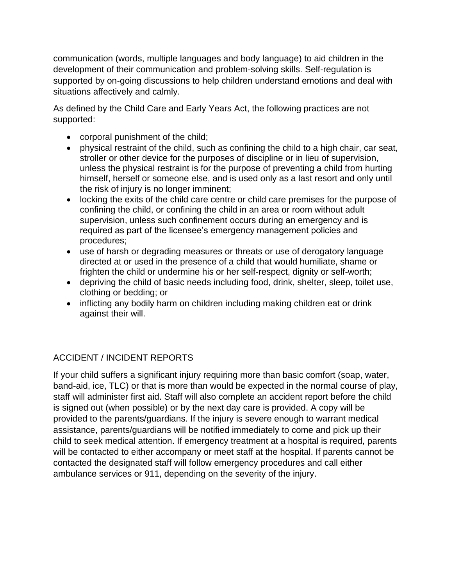communication (words, multiple languages and body language) to aid children in the development of their communication and problem-solving skills. Self-regulation is supported by on-going discussions to help children understand emotions and deal with situations affectively and calmly.

As defined by the Child Care and Early Years Act, the following practices are not supported:

- corporal punishment of the child;
- physical restraint of the child, such as confining the child to a high chair, car seat, stroller or other device for the purposes of discipline or in lieu of supervision, unless the physical restraint is for the purpose of preventing a child from hurting himself, herself or someone else, and is used only as a last resort and only until the risk of injury is no longer imminent;
- locking the exits of the child care centre or child care premises for the purpose of confining the child, or confining the child in an area or room without adult supervision, unless such confinement occurs during an emergency and is required as part of the licensee's emergency management policies and procedures;
- use of harsh or degrading measures or threats or use of derogatory language directed at or used in the presence of a child that would humiliate, shame or frighten the child or undermine his or her self-respect, dignity or self-worth;
- depriving the child of basic needs including food, drink, shelter, sleep, toilet use, clothing or bedding; or
- inflicting any bodily harm on children including making children eat or drink against their will.

# ACCIDENT / INCIDENT REPORTS

If your child suffers a significant injury requiring more than basic comfort (soap, water, band-aid, ice, TLC) or that is more than would be expected in the normal course of play, staff will administer first aid. Staff will also complete an accident report before the child is signed out (when possible) or by the next day care is provided. A copy will be provided to the parents/guardians. If the injury is severe enough to warrant medical assistance, parents/guardians will be notified immediately to come and pick up their child to seek medical attention. If emergency treatment at a hospital is required, parents will be contacted to either accompany or meet staff at the hospital. If parents cannot be contacted the designated staff will follow emergency procedures and call either ambulance services or 911, depending on the severity of the injury.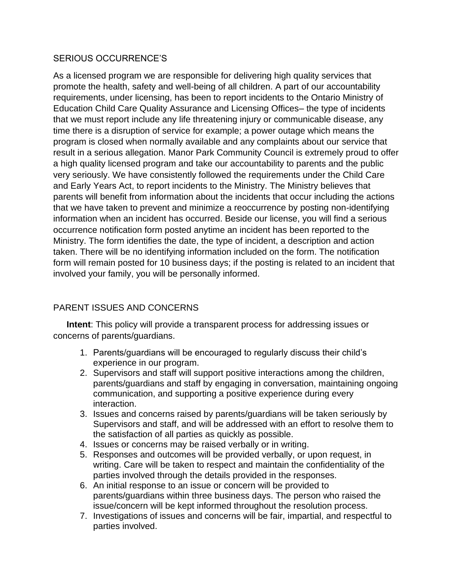#### SERIOUS OCCURRENCE'S

As a licensed program we are responsible for delivering high quality services that promote the health, safety and well-being of all children. A part of our accountability requirements, under licensing, has been to report incidents to the Ontario Ministry of Education Child Care Quality Assurance and Licensing Offices– the type of incidents that we must report include any life threatening injury or communicable disease, any time there is a disruption of service for example; a power outage which means the program is closed when normally available and any complaints about our service that result in a serious allegation. Manor Park Community Council is extremely proud to offer a high quality licensed program and take our accountability to parents and the public very seriously. We have consistently followed the requirements under the Child Care and Early Years Act, to report incidents to the Ministry. The Ministry believes that parents will benefit from information about the incidents that occur including the actions that we have taken to prevent and minimize a reoccurrence by posting non-identifying information when an incident has occurred. Beside our license, you will find a serious occurrence notification form posted anytime an incident has been reported to the Ministry. The form identifies the date, the type of incident, a description and action taken. There will be no identifying information included on the form. The notification form will remain posted for 10 business days; if the posting is related to an incident that involved your family, you will be personally informed.

# PARENT ISSUES AND CONCERNS

**Intent**: This policy will provide a transparent process for addressing issues or concerns of parents/guardians.

- 1. Parents/guardians will be encouraged to regularly discuss their child's experience in our program.
- 2. Supervisors and staff will support positive interactions among the children, parents/guardians and staff by engaging in conversation, maintaining ongoing communication, and supporting a positive experience during every interaction.
- 3. Issues and concerns raised by parents/guardians will be taken seriously by Supervisors and staff, and will be addressed with an effort to resolve them to the satisfaction of all parties as quickly as possible.
- 4. Issues or concerns may be raised verbally or in writing.
- 5. Responses and outcomes will be provided verbally, or upon request, in writing. Care will be taken to respect and maintain the confidentiality of the parties involved through the details provided in the responses.
- 6. An initial response to an issue or concern will be provided to parents/guardians within three business days. The person who raised the issue/concern will be kept informed throughout the resolution process.
- 7. Investigations of issues and concerns will be fair, impartial, and respectful to parties involved.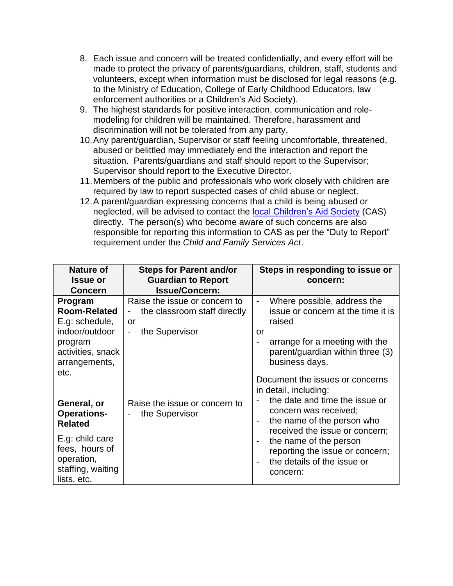- 8. Each issue and concern will be treated confidentially, and every effort will be made to protect the privacy of parents/guardians, children, staff, students and volunteers, except when information must be disclosed for legal reasons (e.g. to the Ministry of Education, College of Early Childhood Educators, law enforcement authorities or a Children's Aid Society).
- 9. The highest standards for positive interaction, communication and rolemodeling for children will be maintained. Therefore, harassment and discrimination will not be tolerated from any party.
- 10.Any parent/guardian, Supervisor or staff feeling uncomfortable, threatened, abused or belittled may immediately end the interaction and report the situation. Parents/guardians and staff should report to the Supervisor; Supervisor should report to the Executive Director.
- 11.Members of the public and professionals who work closely with children are required by law to report suspected cases of child abuse or neglect.
- 12.A parent/guardian expressing concerns that a child is being abused or neglected, will be advised to contact the [local Children's Aid Society](http://www.children.gov.on.ca/htdocs/English/childrensaid/reportingabuse/CASLocations.aspx) (CAS) directly. The person(s) who become aware of such concerns are also responsible for reporting this information to CAS as per the "Duty to Report" requirement under the *Child and Family Services Act*.

| <b>Nature of</b>                                                                                                            | <b>Steps for Parent and/or</b>                                                        | Steps in responding to issue or                                                                                                                                                |  |
|-----------------------------------------------------------------------------------------------------------------------------|---------------------------------------------------------------------------------------|--------------------------------------------------------------------------------------------------------------------------------------------------------------------------------|--|
| <b>Issue or</b>                                                                                                             | <b>Guardian to Report</b>                                                             | concern:                                                                                                                                                                       |  |
| <b>Concern</b>                                                                                                              | <b>Issue/Concern:</b>                                                                 |                                                                                                                                                                                |  |
| Program<br><b>Room-Related</b><br>E.g: schedule,<br>indoor/outdoor<br>program<br>activities, snack<br>arrangements,<br>etc. | Raise the issue or concern to<br>the classroom staff directly<br>or<br>the Supervisor | Where possible, address the<br>-<br>issue or concern at the time it is<br>raised<br>or<br>arrange for a meeting with the<br>parent/guardian within three (3)<br>business days. |  |
| General, or<br><b>Operations-</b>                                                                                           | Raise the issue or concern to<br>the Supervisor                                       | Document the issues or concerns<br>in detail, including:<br>the date and time the issue or<br>concern was received;                                                            |  |
| <b>Related</b>                                                                                                              |                                                                                       | the name of the person who<br>received the issue or concern;                                                                                                                   |  |
| E.g: child care<br>fees, hours of<br>operation,<br>staffing, waiting<br>lists, etc.                                         |                                                                                       | the name of the person<br>reporting the issue or concern;<br>the details of the issue or<br>concern:                                                                           |  |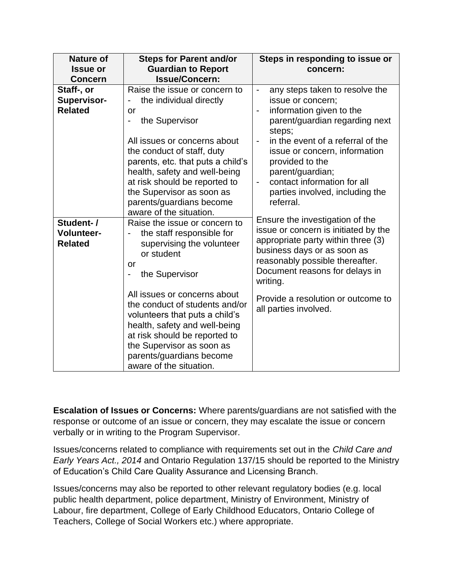| <b>Nature of</b><br><b>Issue or</b><br><b>Concern</b> | <b>Steps for Parent and/or</b><br><b>Guardian to Report</b><br><b>Issue/Concern:</b>                                                                                                                                                                                                                                                                                                                                    | Steps in responding to issue or<br>concern:                                                                                                                                                                                                                                                                                                                                    |
|-------------------------------------------------------|-------------------------------------------------------------------------------------------------------------------------------------------------------------------------------------------------------------------------------------------------------------------------------------------------------------------------------------------------------------------------------------------------------------------------|--------------------------------------------------------------------------------------------------------------------------------------------------------------------------------------------------------------------------------------------------------------------------------------------------------------------------------------------------------------------------------|
| Staff-, or<br><b>Supervisor-</b><br><b>Related</b>    | Raise the issue or concern to<br>the individual directly<br>-<br>or<br>the Supervisor<br>-<br>All issues or concerns about<br>the conduct of staff, duty<br>parents, etc. that puts a child's<br>health, safety and well-being<br>at risk should be reported to<br>the Supervisor as soon as<br>parents/guardians become                                                                                                | any steps taken to resolve the<br>-<br>issue or concern;<br>information given to the<br>parent/guardian regarding next<br>steps;<br>in the event of a referral of the<br>$\qquad \qquad \blacksquare$<br>issue or concern, information<br>provided to the<br>parent/guardian;<br>contact information for all<br>$\blacksquare$<br>parties involved, including the<br>referral. |
| Student-/<br><b>Volunteer-</b><br><b>Related</b>      | aware of the situation.<br>Raise the issue or concern to<br>the staff responsible for<br>-<br>supervising the volunteer<br>or student<br>or<br>the Supervisor<br>All issues or concerns about<br>the conduct of students and/or<br>volunteers that puts a child's<br>health, safety and well-being<br>at risk should be reported to<br>the Supervisor as soon as<br>parents/guardians become<br>aware of the situation. | Ensure the investigation of the<br>issue or concern is initiated by the<br>appropriate party within three (3)<br>business days or as soon as<br>reasonably possible thereafter.<br>Document reasons for delays in<br>writing.<br>Provide a resolution or outcome to<br>all parties involved.                                                                                   |

**Escalation of Issues or Concerns:** Where parents/guardians are not satisfied with the response or outcome of an issue or concern, they may escalate the issue or concern verbally or in writing to the Program Supervisor.

Issues/concerns related to compliance with requirements set out in the *Child Care and Early Years Act., 2014* and Ontario Regulation 137/15 should be reported to the Ministry of Education's Child Care Quality Assurance and Licensing Branch.

Issues/concerns may also be reported to other relevant regulatory bodies (e.g. local public health department, police department, Ministry of Environment, Ministry of Labour, fire department, College of Early Childhood Educators, Ontario College of Teachers, College of Social Workers etc.) where appropriate.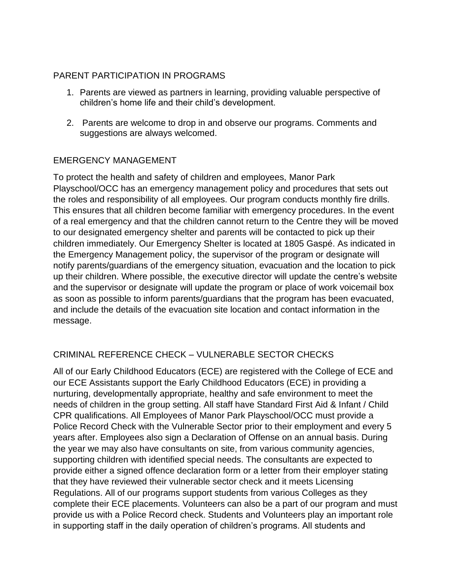#### PARENT PARTICIPATION IN PROGRAMS

- 1. Parents are viewed as partners in learning, providing valuable perspective of children's home life and their child's development.
- 2. Parents are welcome to drop in and observe our programs. Comments and suggestions are always welcomed.

## EMERGENCY MANAGEMENT

To protect the health and safety of children and employees, Manor Park Playschool/OCC has an emergency management policy and procedures that sets out the roles and responsibility of all employees. Our program conducts monthly fire drills. This ensures that all children become familiar with emergency procedures. In the event of a real emergency and that the children cannot return to the Centre they will be moved to our designated emergency shelter and parents will be contacted to pick up their children immediately. Our Emergency Shelter is located at 1805 Gaspé. As indicated in the Emergency Management policy, the supervisor of the program or designate will notify parents/guardians of the emergency situation, evacuation and the location to pick up their children. Where possible, the executive director will update the centre's website and the supervisor or designate will update the program or place of work voicemail box as soon as possible to inform parents/guardians that the program has been evacuated, and include the details of the evacuation site location and contact information in the message.

# CRIMINAL REFERENCE CHECK – VULNERABLE SECTOR CHECKS

All of our Early Childhood Educators (ECE) are registered with the College of ECE and our ECE Assistants support the Early Childhood Educators (ECE) in providing a nurturing, developmentally appropriate, healthy and safe environment to meet the needs of children in the group setting. All staff have Standard First Aid & Infant / Child CPR qualifications. All Employees of Manor Park Playschool/OCC must provide a Police Record Check with the Vulnerable Sector prior to their employment and every 5 years after. Employees also sign a Declaration of Offense on an annual basis. During the year we may also have consultants on site, from various community agencies, supporting children with identified special needs. The consultants are expected to provide either a signed offence declaration form or a letter from their employer stating that they have reviewed their vulnerable sector check and it meets Licensing Regulations. All of our programs support students from various Colleges as they complete their ECE placements. Volunteers can also be a part of our program and must provide us with a Police Record check. Students and Volunteers play an important role in supporting staff in the daily operation of children's programs. All students and